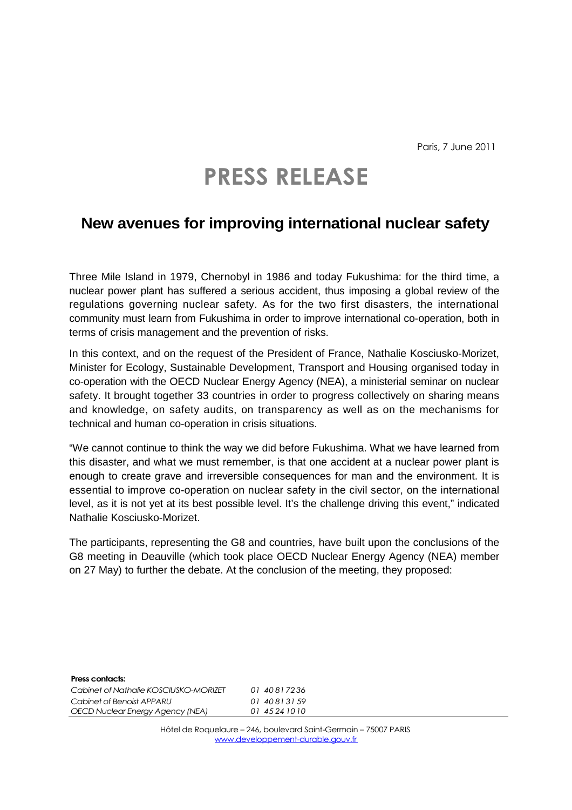Paris, 7 June 2011

## **PRESS RELEASE**

## **New avenues for improving international nuclear safety**

Three Mile Island in 1979, Chernobyl in 1986 and today Fukushima: for the third time, a nuclear power plant has suffered a serious accident, thus imposing a global review of the regulations governing nuclear safety. As for the two first disasters, the international community must learn from Fukushima in order to improve international co-operation, both in terms of crisis management and the prevention of risks.

In this context, and on the request of the President of France, Nathalie Kosciusko-Morizet, Minister for Ecology, Sustainable Development, Transport and Housing organised today in co-operation with the OECD Nuclear Energy Agency (NEA), a ministerial seminar on nuclear safety. It brought together 33 countries in order to progress collectively on sharing means and knowledge, on safety audits, on transparency as well as on the mechanisms for technical and human co-operation in crisis situations.

"We cannot continue to think the way we did before Fukushima. What we have learned from this disaster, and what we must remember, is that one accident at a nuclear power plant is enough to create grave and irreversible consequences for man and the environment. It is essential to improve co-operation on nuclear safety in the civil sector, on the international level, as it is not yet at its best possible level. It's the challenge driving this event," indicated Nathalie Kosciusko-Morizet.

The participants, representing the G8 and countries, have built upon the conclusions of the G8 meeting in Deauville (which took place OECD Nuclear Energy Agency (NEA) member on 27 May) to further the debate. At the conclusion of the meeting, they proposed:

| <b>Press contacts:</b>                  |                |
|-----------------------------------------|----------------|
| Cabinet of Nathalie KOSCIUSKO-MORIZET   | 01 40817236    |
| Cabinet of Benoist APPARU               | 01 40 81 31 59 |
| <b>OECD Nuclear Energy Agency (NEA)</b> | 01 45 24 10 10 |

Hôtel de Roquelaure – 246, boulevard Saint-Germain – 75007 PARIS www.developpement-durable.gouv.fr